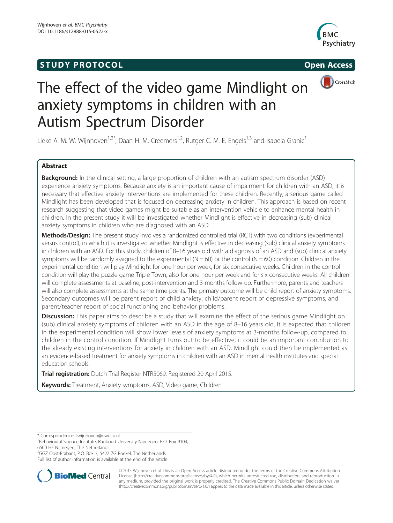## **STUDY PROTOCOL CONSUMING THE STUDY PROTOCOL**





# The effect of the video game Mindlight on anxiety symptoms in children with an Autism Spectrum Disorder

Lieke A. M. W. Wijnhoven<sup>1,2\*</sup>, Daan H. M. Creemers<sup>1,2</sup>, Rutger C. M. E. Engels<sup>1,3</sup> and Isabela Granic<sup>1</sup>

### Abstract

Background: In the clinical setting, a large proportion of children with an autism spectrum disorder (ASD) experience anxiety symptoms. Because anxiety is an important cause of impairment for children with an ASD, it is necessary that effective anxiety interventions are implemented for these children. Recently, a serious game called Mindlight has been developed that is focused on decreasing anxiety in children. This approach is based on recent research suggesting that video games might be suitable as an intervention vehicle to enhance mental health in children. In the present study it will be investigated whether Mindlight is effective in decreasing (sub) clinical anxiety symptoms in children who are diagnosed with an ASD.

Methods/Design: The present study involves a randomized controlled trial (RCT) with two conditions (experimental versus control), in which it is investigated whether Mindlight is effective in decreasing (sub) clinical anxiety symptoms in children with an ASD. For this study, children of 8–16 years old with a diagnosis of an ASD and (sub) clinical anxiety symptoms will be randomly assigned to the experimental ( $N = 60$ ) or the control ( $N = 60$ ) condition. Children in the experimental condition will play Mindlight for one hour per week, for six consecutive weeks. Children in the control condition will play the puzzle game Triple Town, also for one hour per week and for six consecutive weeks. All children will complete assessments at baseline, post-intervention and 3-months follow-up. Furthermore, parents and teachers will also complete assessments at the same time points. The primary outcome will be child report of anxiety symptoms. Secondary outcomes will be parent report of child anxiety, child/parent report of depressive symptoms, and parent/teacher report of social functioning and behavior problems.

**Discussion:** This paper aims to describe a study that will examine the effect of the serious game Mindlight on (sub) clinical anxiety symptoms of children with an ASD in the age of 8–16 years old. It is expected that children in the experimental condition will show lower levels of anxiety symptoms at 3-months follow-up, compared to children in the control condition. If Mindlight turns out to be effective, it could be an important contribution to the already existing interventions for anxiety in children with an ASD. Mindlight could then be implemented as an evidence-based treatment for anxiety symptoms in children with an ASD in mental health institutes and special education schools.

Trial registration: Dutch Trial Register NTR5069. Registered 20 April 2015.

Keywords: Treatment, Anxiety symptoms, ASD, Video game, Children

\* Correspondence: l.wijnhoven@pwo.ru.nl <sup>1</sup>

<sup>2</sup>GGZ Oost-Brabant, P.O. Box 3, 5427 ZG Boekel, The Netherlands

Full list of author information is available at the end of the article



© 2015 Wijnhoven et al. This is an Open Access article distributed under the terms of the Creative Commons Attribution License (http://creativecommons.org/licenses/by/4.0), which permits unrestricted use, distribution, and reproduction in any medium, provided the original work is properly credited. The Creative Commons Public Domain Dedication waiver (http://creativecommons.org/publicdomain/zero/1.0/) applies to the data made available in this article, unless otherwise stated.

<sup>&</sup>lt;sup>1</sup>Behavioural Science Institute, Radboud University Nijmegen, P.O. Box 9104, 6500 HE Nijmegen, The Netherlands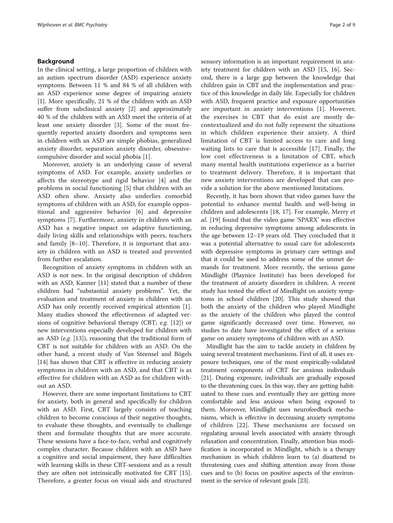#### Background

In the clinical setting, a large proportion of children with an autism spectrum disorder (ASD) experience anxiety symptoms. Between 11 % and 84 % of all children with an ASD experience some degree of impairing anxiety [1]. More specifically, 21 % of the children with an ASD suffer from subclinical anxiety [2] and approximately 40 % of the children with an ASD meet the criteria of at least one anxiety disorder [3]. Some of the most frequently reported anxiety disorders and symptoms seen in children with an ASD are simple phobias, generalized anxiety disorder, separation anxiety disorder, obsessivecompulsive disorder and social phobia [1].

Moreover, anxiety is an underlying cause of several symptoms of ASD. For example, anxiety underlies or affects the stereotype and rigid behavior [4] and the problems in social functioning [5] that children with an ASD often show. Anxiety also underlies comorbid symptoms of children with an ASD, for example oppositional and aggressive behavior [6] and depressive symptoms [7]. Furthermore, anxiety in children with an ASD has a negative impact on adaptive functioning, daily living skills and relationships with peers, teachers and family [8–10]. Therefore, it is important that anxiety in children with an ASD is treated and prevented from further escalation.

Recognition of anxiety symptoms in children with an ASD is not new. In the original description of children with an ASD, Kanner [11] stated that a number of these children had "substantial anxiety problems". Yet, the evaluation and treatment of anxiety in children with an ASD has only recently received empirical attention [1]. Many studies showed the effectiveness of adapted versions of cognitive behavioral therapy (CBT; e.g. [12]) or new interventions especially developed for children with an ASD (e.g. [13]), reasoning that the traditional form of CBT is not suitable for children with an ASD. On the other hand, a recent study of Van Steensel and Bögels [14] has shown that CBT is effective in reducing anxiety symptoms in children with an ASD, and that CBT is as effective for children with an ASD as for children without an ASD.

However, there are some important limitations to CBT for anxiety, both in general and specifically for children with an ASD. First, CBT largely consists of teaching children to become conscious of their negative thoughts, to evaluate these thoughts, and eventually to challenge them and formulate thoughts that are more accurate. These sessions have a face-to-face, verbal and cognitively complex character. Because children with an ASD have a cognitive and social impairment, they have difficulties with learning skills in these CBT-sessions and as a result they are often not intrinsically motivated for CBT [15]. Therefore, a greater focus on visual aids and structured sensory information is an important requirement in anxiety treatment for children with an ASD [15, 16]. Second, there is a large gap between the knowledge that children gain in CBT and the implementation and practice of this knowledge in daily life. Especially for children with ASD, frequent practice and exposure opportunities are important in anxiety interventions [1]. However, the exercises in CBT that do exist are mostly decontextualized and do not fully represent the situations in which children experience their anxiety. A third limitation of CBT is limited access to care and long waiting lists to care that is accessible [17]. Finally, the low cost effectiveness is a limitation of CBT, which many mental health institutions experience as a barrier to treatment delivery. Therefore, it is important that new anxiety interventions are developed that can provide a solution for the above mentioned limitations.

Recently, it has been shown that video games have the potential to enhance mental health and well-being in children and adolescents [18, 17]. For example, Merry et al. [19] found that the video game 'SPARX' was effective in reducing depressive symptoms among adolescents in the age between 12–19 years old. They concluded that it was a potential alternative to usual care for adolescents with depressive symptoms in primary care settings and that it could be used to address some of the unmet demands for treatment. More recently, the serious game Mindlight (Playnice Institute) has been developed for the treatment of anxiety disorders in children. A recent study has tested the effect of Mindlight on anxiety symptoms in school children [20]. This study showed that both the anxiety of the children who played Mindlight as the anxiety of the children who played the control game significantly decreased over time. However, no studies to date have investigated the effect of a serious game on anxiety symptoms of children with an ASD.

Mindlight has the aim to tackle anxiety in children by using several treatment mechanisms. First of all, it uses exposure techniques, one of the most empirically-validated treatment components of CBT for anxious individuals [21]. During exposure, individuals are gradually exposed to the threatening cues. In this way, they are getting habituated to these cues and eventually they are getting more comfortable and less anxious when being exposed to them. Moreover, Mindlight uses neurofeedback mechanisms, which is effective in decreasing anxiety symptoms of children [22]. These mechanisms are focused on regulating arousal levels associated with anxiety through relaxation and concentration. Finally, attention bias modification is incorporated in Mindlight, which is a therapy mechanism in which children learn to (a) disattend to threatening cues and shifting attention away from those cues and to (b) focus on positive aspects of the environment in the service of relevant goals [23].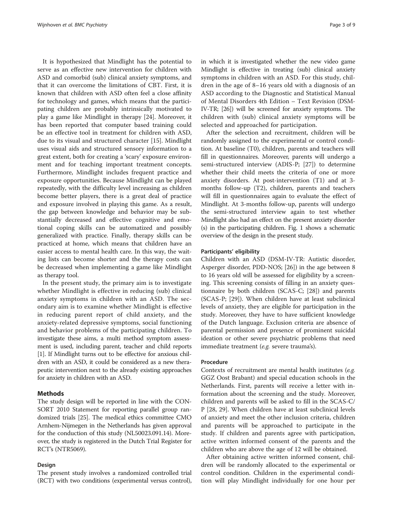It is hypothesized that Mindlight has the potential to serve as an effective new intervention for children with ASD and comorbid (sub) clinical anxiety symptoms, and that it can overcome the limitations of CBT. First, it is known that children with ASD often feel a close affinity for technology and games, which means that the participating children are probably intrinsically motivated to play a game like Mindlight in therapy [24]. Moreover, it has been reported that computer based training could be an effective tool in treatment for children with ASD, due to its visual and structured character [15]. Mindlight uses visual aids and structured sensory information to a great extent, both for creating a 'scary' exposure environment and for teaching important treatment concepts. Furthermore, Mindlight includes frequent practice and exposure opportunities. Because Mindlight can be played repeatedly, with the difficulty level increasing as children become better players, there is a great deal of practice and exposure involved in playing this game. As a result, the gap between knowledge and behavior may be substantially decreased and effective cognitive and emotional coping skills can be automatized and possibly generalized with practice. Finally, therapy skills can be practiced at home, which means that children have an easier access to mental health care. In this way, the waiting lists can become shorter and the therapy costs can be decreased when implementing a game like Mindlight as therapy tool.

In the present study, the primary aim is to investigate whether Mindlight is effective in reducing (sub) clinical anxiety symptoms in children with an ASD. The secondary aim is to examine whether Mindlight is effective in reducing parent report of child anxiety, and the anxiety-related depressive symptoms, social functioning and behavior problems of the participating children. To investigate these aims, a multi method symptom assessment is used, including parent, teacher and child reports [1]. If Mindlight turns out to be effective for anxious children with an ASD, it could be considered as a new therapeutic intervention next to the already existing approaches for anxiety in children with an ASD.

#### Methods

The study design will be reported in line with the CON-SORT 2010 Statement for reporting parallel group randomized trials [25]. The medical ethics committee CMO Arnhem-Nijmegen in the Netherlands has given approval for the conduction of this study (NL50023.091.14). Moreover, the study is registered in the Dutch Trial Register for RCT's (NTR5069).

#### Design

The present study involves a randomized controlled trial (RCT) with two conditions (experimental versus control), in which it is investigated whether the new video game Mindlight is effective in treating (sub) clinical anxiety symptoms in children with an ASD. For this study, children in the age of 8–16 years old with a diagnosis of an ASD according to the Diagnostic and Statistical Manual of Mental Disorders 4th Edition – Text Revision (DSM-IV-TR; [26]) will be screened for anxiety symptoms. The children with (sub) clinical anxiety symptoms will be selected and approached for participation.

After the selection and recruitment, children will be randomly assigned to the experimental or control condition. At baseline (T0), children, parents and teachers will fill in questionnaires. Moreover, parents will undergo a semi-structured interview (ADIS-P; [27]) to determine whether their child meets the criteria of one or more anxiety disorders. At post-intervention (T1) and at 3 months follow-up (T2), children, parents and teachers will fill in questionnaires again to evaluate the effect of Mindlight. At 3-months follow-up, parents will undergo the semi-structured interview again to test whether Mindlight also had an effect on the present anxiety disorder (s) in the participating children. Fig. 1 shows a schematic overview of the design in the present study.

#### Participants' eligibility

Children with an ASD (DSM-IV-TR: Autistic disorder, Asperger disorder, PDD-NOS; [26]) in the age between 8 to 16 years old will be assessed for eligibility by a screening. This screening consists of filling in an anxiety questionnaire by both children (SCAS-C; [28]) and parents (SCAS-P; [29]). When children have at least subclinical levels of anxiety, they are eligible for participation in the study. Moreover, they have to have sufficient knowledge of the Dutch language. Exclusion criteria are absence of parental permission and presence of prominent suicidal ideation or other severe psychiatric problems that need immediate treatment (e.g. severe trauma's).

#### Procedure

Contexts of recruitment are mental health institutes (e.g. GGZ Oost Brabant) and special education schools in the Netherlands. First, parents will receive a letter with information about the screening and the study. Moreover, children and parents will be asked to fill in the SCAS-C/ P [28, 29]. When children have at least subclinical levels of anxiety and meet the other inclusion criteria, children and parents will be approached to participate in the study. If children and parents agree with participation, active written informed consent of the parents and the children who are above the age of 12 will be obtained.

After obtaining active written informed consent, children will be randomly allocated to the experimental or control condition. Children in the experimental condition will play Mindlight individually for one hour per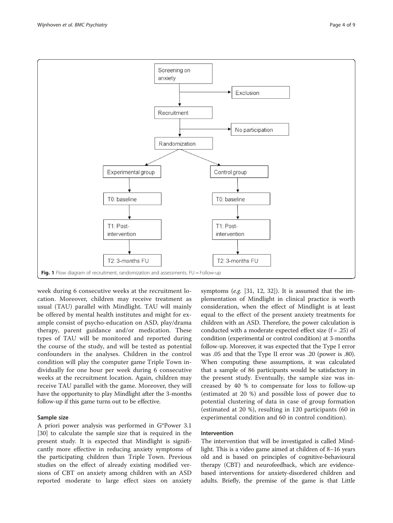Wijnhoven *et al. BMC Psychiatry* Page 4 of 9



week during 6 consecutive weeks at the recruitment location. Moreover, children may receive treatment as usual (TAU) parallel with Mindlight. TAU will mainly be offered by mental health institutes and might for example consist of psycho-education on ASD, play/drama therapy, parent guidance and/or medication. These types of TAU will be monitored and reported during the course of the study, and will be tested as potential confounders in the analyses. Children in the control condition will play the computer game Triple Town individually for one hour per week during 6 consecutive weeks at the recruitment location. Again, children may receive TAU parallel with the game. Moreover, they will have the opportunity to play Mindlight after the 3-months follow-up if this game turns out to be effective.

#### Sample size

A priori power analysis was performed in G\*Power 3.1 [30] to calculate the sample size that is required in the present study. It is expected that Mindlight is significantly more effective in reducing anxiety symptoms of the participating children than Triple Town. Previous studies on the effect of already existing modified versions of CBT on anxiety among children with an ASD reported moderate to large effect sizes on anxiety

symptoms (e.g. [31, 12, 32]). It is assumed that the implementation of Mindlight in clinical practice is worth consideration, when the effect of Mindlight is at least equal to the effect of the present anxiety treatments for children with an ASD. Therefore, the power calculation is conducted with a moderate expected effect size  $(f = .25)$  of condition (experimental or control condition) at 3-months follow-up. Moreover, it was expected that the Type I error was .05 and that the Type II error was .20 (power is .80). When computing these assumptions, it was calculated that a sample of 86 participants would be satisfactory in the present study. Eventually, the sample size was increased by 40 % to compensate for loss to follow-up (estimated at 20 %) and possible loss of power due to potential clustering of data in case of group formation (estimated at 20 %), resulting in 120 participants (60 in experimental condition and 60 in control condition).

#### Intervention

The intervention that will be investigated is called Mindlight. This is a video game aimed at children of 8–16 years old and is based on principles of cognitive-behavioural therapy (CBT) and neurofeedback, which are evidencebased interventions for anxiety-disordered children and adults. Briefly, the premise of the game is that Little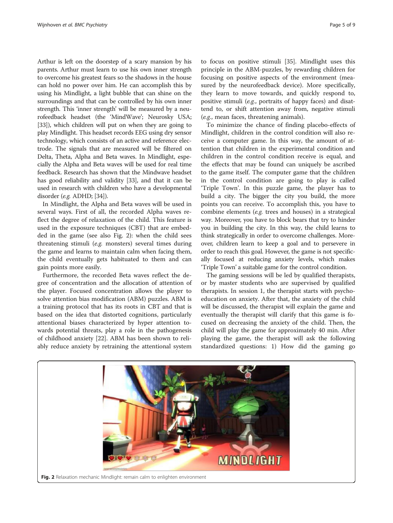Arthur is left on the doorstep of a scary mansion by his parents. Arthur must learn to use his own inner strength to overcome his greatest fears so the shadows in the house can hold no power over him. He can accomplish this by using his Mindlight, a light bubble that can shine on the surroundings and that can be controlled by his own inner strength. This 'inner strength' will be measured by a neurofeedback headset (the 'MindWave'; Neurosky USA; [33]), which children will put on when they are going to play Mindlight. This headset records EEG using dry sensor technology, which consists of an active and reference electrode. The signals that are measured will be filtered on Delta, Theta, Alpha and Beta waves. In Mindlight, especially the Alpha and Beta waves will be used for real time feedback. Research has shown that the Mindwave headset has good reliability and validity [33], and that it can be used in research with children who have a developmental disorder (e.g. ADHD; [34]).

In Mindlight, the Alpha and Beta waves will be used in several ways. First of all, the recorded Alpha waves reflect the degree of relaxation of the child. This feature is used in the exposure techniques (CBT) that are embedded in the game (see also Fig. 2): when the child sees threatening stimuli (e.g. monsters) several times during the game and learns to maintain calm when facing them, the child eventually gets habituated to them and can gain points more easily.

Furthermore, the recorded Beta waves reflect the degree of concentration and the allocation of attention of the player. Focused concentration allows the player to solve attention bias modification (ABM) puzzles. ABM is a training protocol that has its roots in CBT and that is based on the idea that distorted cognitions, particularly attentional biases characterized by hyper attention towards potential threats, play a role in the pathogenesis of childhood anxiety [22]. ABM has been shown to reliably reduce anxiety by retraining the attentional system

to focus on positive stimuli [35]. Mindlight uses this principle in the ABM-puzzles, by rewarding children for focusing on positive aspects of the environment (measured by the neurofeedback device). More specifically, they learn to move towards, and quickly respond to, positive stimuli (e.g., portraits of happy faces) and disattend to, or shift attention away from, negative stimuli (e.g., mean faces, threatening animals).

To minimize the chance of finding placebo-effects of Mindlight, children in the control condition will also receive a computer game. In this way, the amount of attention that children in the experimental condition and children in the control condition receive is equal, and the effects that may be found can uniquely be ascribed to the game itself. The computer game that the children in the control condition are going to play is called 'Triple Town'. In this puzzle game, the player has to build a city. The bigger the city you build, the more points you can receive. To accomplish this, you have to combine elements (e.g. trees and houses) in a strategical way. Moreover, you have to block bears that try to hinder you in building the city. In this way, the child learns to think strategically in order to overcome challenges. Moreover, children learn to keep a goal and to persevere in order to reach this goal. However, the game is not specifically focused at reducing anxiety levels, which makes 'Triple Town' a suitable game for the control condition.

The gaming sessions will be led by qualified therapists, or by master students who are supervised by qualified therapists. In session 1, the therapist starts with psychoeducation on anxiety. After that, the anxiety of the child will be discussed, the therapist will explain the game and eventually the therapist will clarify that this game is focused on decreasing the anxiety of the child. Then, the child will play the game for approximately 40 min. After playing the game, the therapist will ask the following standardized questions: 1) How did the gaming go

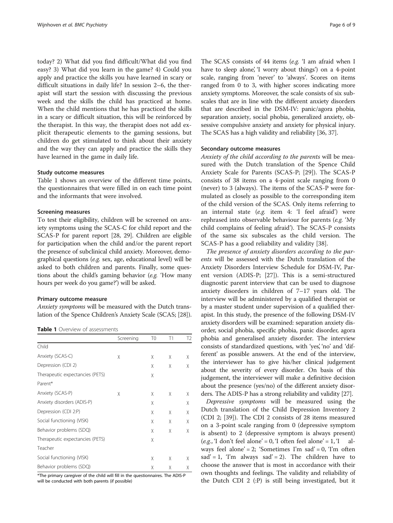today? 2) What did you find difficult/What did you find easy? 3) What did you learn in the game? 4) Could you apply and practice the skills you have learned in scary or difficult situations in daily life? In session 2–6, the therapist will start the session with discussing the previous week and the skills the child has practiced at home. When the child mentions that he has practiced the skills in a scary or difficult situation, this will be reinforced by the therapist. In this way, the therapist does not add explicit therapeutic elements to the gaming sessions, but children do get stimulated to think about their anxiety and the way they can apply and practice the skills they have learned in the game in daily life.

#### Study outcome measures

Table 1 shows an overview of the different time points, the questionnaires that were filled in on each time point and the informants that were involved.

#### Screening measures

To test their eligibility, children will be screened on anxiety symptoms using the SCAS-C for child report and the SCAS-P for parent report [28, 29]. Children are eligible for participation when the child and/or the parent report the presence of subclinical child anxiety. Moreover, demographical questions (e.g. sex, age, educational level) will be asked to both children and parents. Finally, some questions about the child's gaming behavior (e.g. 'How many hours per week do you game?') will be asked.

#### Primary outcome measure

Anxiety symptoms will be measured with the Dutch translation of the Spence Children's Anxiety Scale (SCAS; [28]).

Table 1 Overview of assessments

|                                 | Screening | T <sub>0</sub> | T1 | T <sub>2</sub> |
|---------------------------------|-----------|----------------|----|----------------|
| Child                           |           |                |    |                |
| Anxiety (SCAS-C)                | χ         | χ              | χ  | Χ              |
| Depression (CDI 2)              |           | X              | Χ  | Χ              |
| Therapeutic expectancies (PETS) |           | Χ              |    |                |
| Parent*                         |           |                |    |                |
| Anxiety (SCAS-P)                | χ         | χ              | χ  | X              |
| Anxiety disorders (ADIS-P)      |           | χ              |    | Χ              |
| Depression (CDI 2:P)            |           | X              | χ  | Χ              |
| Social functioning (VISK)       |           | Χ              | χ  | Χ              |
| Behavior problems (SDQ)         |           | X              | χ  | X              |
| Therapeutic expectancies (PETS) |           | Χ              |    |                |
| Teacher                         |           |                |    |                |
| Social functioning (VISK)       |           | X              | χ  | X              |
| Behavior problems (SDQ)         |           | Χ              | Χ  | Χ              |

\*The primary caregiver of the child will fill in the questionnaires. The ADIS-P will be conducted with both parents (if possible)

The SCAS consists of 44 items (e.g. 'I am afraid when I have to sleep alone', 'I worry about things') on a 4-point scale, ranging from 'never' to 'always'. Scores on items ranged from 0 to 3, with higher scores indicating more anxiety symptoms. Moreover, the scale consists of six subscales that are in line with the different anxiety disorders that are described in the DSM-IV: panic/agora phobia, separation anxiety, social phobia, generalized anxiety, obsessive compulsive anxiety and anxiety for physical injury. The SCAS has a high validity and reliability [36, 37].

#### Secondary outcome measures

Anxiety of the child according to the parents will be measured with the Dutch translation of the Spence Child Anxiety Scale for Parents (SCAS-P; [29]). The SCAS-P consists of 38 items on a 4-point scale ranging from 0 (never) to 3 (always). The items of the SCAS-P were formulated as closely as possible to the corresponding item of the child version of the SCAS. Only items referring to an internal state (e.g. item 4: 'I feel afraid') were rephrased into observable behaviour for parents (e.g. 'My child complains of feeling afraid'). The SCAS-P consists of the same six subscales as the child version. The SCAS-P has a good reliability and validity [38].

The presence of anxiety disorders according to the parents will be assessed with the Dutch translation of the Anxiety Disorders Interview Schedule for DSM-IV, Parent version (ADIS-P; [27]). This is a semi-structured diagnostic parent interview that can be used to diagnose anxiety disorders in children of 7–17 years old. The interview will be administered by a qualified therapist or by a master student under supervision of a qualified therapist. In this study, the presence of the following DSM-IV anxiety disorders will be examined: separation anxiety disorder, social phobia, specific phobia, panic disorder, agora phobia and generalised anxiety disorder. The interview consists of standardized questions, with 'yes', 'no' and 'different' as possible answers. At the end of the interview, the interviewer has to give his/her clinical judgement about the severity of every disorder. On basis of this judgement, the interviewer will make a definitive decision about the presence (yes/no) of the different anxiety disorders. The ADIS-P has a strong reliability and validity [27].

Depressive symptoms will be measured using the Dutch translation of the Child Depression Inventory 2 (CDI 2; [39]). The CDI 2 consists of 28 items measured on a 3-point scale ranging from 0 (depressive symptom is absent) to 2 (depressive symptom is always present) (e.g., 'I don't feel alone' =  $0$ , 'I often feel alone' =  $1$ , 'I always feel alone' = 2; 'Sometimes I'm sad' = 0, 'I'm often sad' = 1, 'I'm always sad' = 2). The children have to choose the answer that is most in accordance with their own thoughts and feelings. The validity and reliability of the Dutch CDI 2 (:P) is still being investigated, but it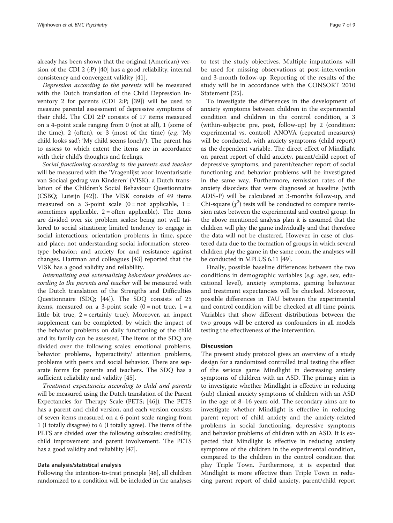already has been shown that the original (American) version of the CDI 2 (:P) [40] has a good reliability, internal consistency and convergent validity [41].

Depression according to the parents will be measured with the Dutch translation of the Child Depression Inventory 2 for parents (CDI 2:P; [39]) will be used to measure parental assessment of depressive symptoms of their child. The CDI 2:P consists of 17 items measured on a 4-point scale ranging from 0 (not at all), 1 (some of the time), 2 (often), or 3 (most of the time) (e.g. 'My child looks sad'; 'My child seems lonely'). The parent has to assess to which extent the items are in accordance with their child's thoughts and feelings.

Social functioning according to the parents and teacher will be measured with the 'Vragenlijst voor Inventarisatie van Sociaal gedrag van Kinderen' (VISK), a Dutch translation of the Children's Social Behaviour Questionnaire (CSBQ; Luteijn [42]). The VISK consists of 49 items measured on a 3-point scale  $(0 = not applicable, 1 =$ sometimes applicable,  $2 =$  often applicable). The items are divided over six problem scales: being not well tailored to social situations; limited tendency to engage in social interactions; orientation problems in time, space and place; not understanding social information; stereotype behavior; and anxiety for and resistance against changes. Hartman and colleagues [43] reported that the VISK has a good validity and reliability.

Internalizing and externalizing behaviour problems according to the parents and teacher will be measured with the Dutch translation of the Strengths and Difficulties Questionnaire (SDQ; [44]). The SDQ consists of 25 items, measured on a 3-point scale  $(0 = not true, 1 = a$ little bit true, 2 = certainly true). Moreover, an impact supplement can be completed, by which the impact of the behavior problems on daily functioning of the child and its family can be assessed. The items of the SDQ are divided over the following scales: emotional problems, behavior problems, hyperactivity/ attention problems, problems with peers and social behavior. There are separate forms for parents and teachers. The SDQ has a sufficient reliability and validity [45].

Treatment expectancies according to child and parents will be measured using the Dutch translation of the Parent Expectancies for Therapy Scale (PETS; [46]). The PETS has a parent and child version, and each version consists of seven items measured on a 6-point scale ranging from 1 (I totally disagree) to 6 (I totally agree). The items of the PETS are divided over the following subscales: credibility, child improvement and parent involvement. The PETS has a good validity and reliability [47].

#### Data analysis/statistical analysis

Following the intention-to-treat principle [48], all children randomized to a condition will be included in the analyses

to test the study objectives. Multiple imputations will be used for missing observations at post-intervention and 3-month follow-up. Reporting of the results of the study will be in accordance with the CONSORT 2010 Statement [25].

To investigate the differences in the development of anxiety symptoms between children in the experimental condition and children in the control condition, a 3 (within-subjects: pre, post, follow-up) by 2 (condition: experimental vs. control) ANOVA (repeated measures) will be conducted, with anxiety symptoms (child report) as the dependent variable. The direct effect of Mindlight on parent report of child anxiety, parent/child report of depressive symptoms, and parent/teacher report of social functioning and behavior problems will be investigated in the same way. Furthermore, remission rates of the anxiety disorders that were diagnosed at baseline (with ADIS-P) will be calculated at 3-months follow-up, and Chi-square  $(\chi^2)$  tests will be conducted to compare remission rates between the experimental and control group. In the above mentioned analysis plan it is assumed that the children will play the game individually and that therefore the data will not be clustered. However, in case of clustered data due to the formation of groups in which several children play the game in the same room, the analyses will be conducted in MPLUS 6.11 [49].

Finally, possible baseline differences between the two conditions in demographic variables (e.g. age, sex, educational level), anxiety symptoms, gaming behaviour and treatment expectancies will be checked. Moreover, possible differences in TAU between the experimental and control condition will be checked at all time points. Variables that show different distributions between the two groups will be entered as confounders in all models testing the effectiveness of the intervention.

#### **Discussion**

The present study protocol gives an overview of a study design for a randomized controlled trial testing the effect of the serious game Mindlight in decreasing anxiety symptoms of children with an ASD. The primary aim is to investigate whether Mindlight is effective in reducing (sub) clinical anxiety symptoms of children with an ASD in the age of 8–16 years old. The secondary aims are to investigate whether Mindlight is effective in reducing parent report of child anxiety and the anxiety-related problems in social functioning, depressive symptoms and behavior problems of children with an ASD. It is expected that Mindlight is effective in reducing anxiety symptoms of the children in the experimental condition, compared to the children in the control condition that play Triple Town. Furthermore, it is expected that Mindlight is more effective than Triple Town in reducing parent report of child anxiety, parent/child report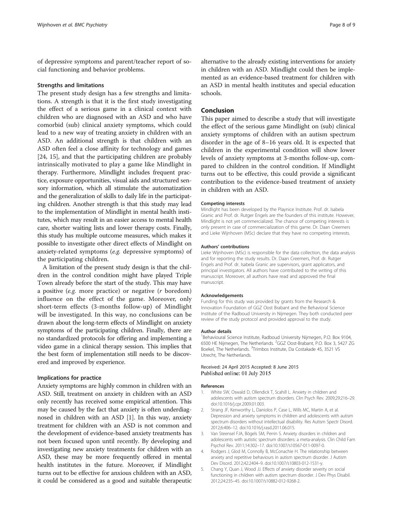of depressive symptoms and parent/teacher report of social functioning and behavior problems.

#### Strengths and limitations

The present study design has a few strengths and limitations. A strength is that it is the first study investigating the effect of a serious game in a clinical context with children who are diagnosed with an ASD and who have comorbid (sub) clinical anxiety symptoms, which could lead to a new way of treating anxiety in children with an ASD. An additional strength is that children with an ASD often feel a close affinity for technology and games [24, 15], and that the participating children are probably intrinsically motivated to play a game like Mindlight in therapy. Furthermore, Mindlight includes frequent practice, exposure opportunities, visual aids and structured sensory information, which all stimulate the automatization and the generalization of skills to daily life in the participating children. Another strength is that this study may lead to the implementation of Mindlight in mental health institutes, which may result in an easier access to mental health care, shorter waiting lists and lower therapy costs. Finally, this study has multiple outcome measures, which makes it possible to investigate other direct effects of Mindlight on anxiety-related symptoms (e.g. depressive symptoms) of the participating children.

A limitation of the present study design is that the children in the control condition might have played Triple Town already before the start of the study. This may have a positive (e.g. more practice) or negative (r boredom) influence on the effect of the game. Moreover, only short-term effects (3-months follow-up) of Mindlight will be investigated. In this way, no conclusions can be drawn about the long-term effects of Mindlight on anxiety symptoms of the participating children. Finally, there are no standardized protocols for offering and implementing a video game in a clinical therapy session. This implies that the best form of implementation still needs to be discovered and improved by experience.

#### Implications for practice

Anxiety symptoms are highly common in children with an ASD. Still, treatment on anxiety in children with an ASD only recently has received some empirical attention. This may be caused by the fact that anxiety is often underdiagnosed in children with an ASD [1]. In this way, anxiety treatment for children with an ASD is not common and the development of evidence-based anxiety treatments has not been focused upon until recently. By developing and investigating new anxiety treatments for children with an ASD, these may be more frequently offered in mental health institutes in the future. Moreover, if Mindlight turns out to be effective for anxious children with an ASD, it could be considered as a good and suitable therapeutic

alternative to the already existing interventions for anxiety in children with an ASD. Mindlight could then be implemented as an evidence-based treatment for children with an ASD in mental health institutes and special education schools.

#### Conclusion

This paper aimed to describe a study that will investigate the effect of the serious game Mindlight on (sub) clinical anxiety symptoms of children with an autism spectrum disorder in the age of 8–16 years old. It is expected that children in the experimental condition will show lower levels of anxiety symptoms at 3-months follow-up, compared to children in the control condition. If Mindlight turns out to be effective, this could provide a significant contribution to the evidence-based treatment of anxiety in children with an ASD.

#### Competing interests

Mindlight has been developed by the Playnice Institute. Prof. dr. Isabela Granic and Prof. dr. Rutger Engels are the founders of this institute. However, Mindlight is not yet commercialized. The chance of competing interests is only present in case of commercialization of this game. Dr. Daan Creemers and Lieke Wijnhoven (MSc) declare that they have no competing interests.

#### Authors' contributions

Lieke Wijnhoven (MSc) is responsible for the data collection, the data analysis and for reporting the study results. Dr. Daan Creemers, Prof. dr. Rutger Engels and Prof. dr. Isabela Granic are supervisors, grant applicators, and principal investigators. All authors have contributed to the writing of this manuscript. Moreover, all authors have read and approved the final manuscript.

#### Acknowledgements

Funding for this study was provided by grants from the Research & Innovation Foundation of GGZ Oost Brabant and the Behavioral Science Institute of the Radboud University in Nijmegen. They both conducted peer review of the study protocol and provided approval to the study.

#### Author details

<sup>1</sup> Behavioural Science Institute, Radboud University Nijmegen, P.O. Box 9104, 6500 HE Nijmegen, The Netherlands. <sup>2</sup>GGZ Oost-Brabant, P.O. Box 3, 5427 ZG Boekel, The Netherlands. <sup>3</sup>Trimbos Institute, Da Costakade 45, 3521 VS Utrecht, The Netherlands.

#### Received: 24 April 2015 Accepted: 8 June 2015 Published online: 01 July 2015

#### References

- 1. White SW, Oswald D, Ollendick T, Scahill L. Anxiety in children and adolescents with autism spectrum disorders. Clin Psych Rev. 2009;29:216–29. doi:10.1016/j.cpr.2009.01.003.
- 2. Strang JF, Kenworthy L, Daniolos P, Case L, Wills MC, Martin A, et al. Depression and anxiety symptoms in children and adolescents with autism spectrum disorders without intellectual disability. Res Autism Spectr Disord. 2012;6:406–12. doi:10.1016/j.rasd.2011.06.015.
- 3. Van Steensel FJA, Bögels SM, Perrin S. Anxiety disorders in children and adolescents with autistic spectrum disorders: a meta-analysis. Clin Child Fam Psychol Rev. 2011;14:302–17. doi:10.1007/s10567-011-0097-0.
- 4. Rodgers J, Glod M, Connolly B, McConachie H. The relationship between anxiety and repetitive behaviours in autism spectrum disorder. J Autism Dev Disord. 2012;42:2404–9. doi:10.1007/s10803-012-1531-y.
- 5. Chang Y, Quan J, Wood JJ. Effects of anxiety disorder severity on social functioning in children with autism spectrum disorder. J Dev Phys Disabil. 2012;24:235–45. doi:10.1007/s10882-012-9268-2.